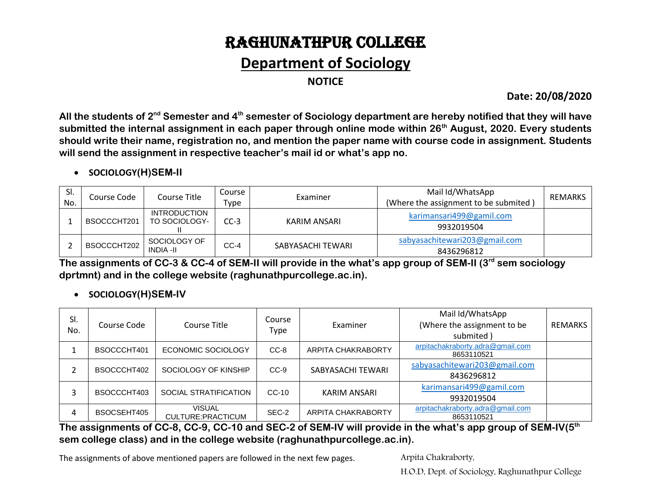# RAGHUNATHPUR COLLEGE

## **Department of Sociology**

**NOTICE**

**Date: 20/08/2020**

**All the students of 2nd Semester and 4th semester of Sociology department are hereby notified that they will have submitted the internal assignment in each paper through online mode within 26th August, 2020. Every students should write their name, registration no, and mention the paper name with course code in assignment. Students will send the assignment in respective teacher's mail id or what's app no.**

#### **SOCIOLOGY(H)SEM-II**

| SI.<br>No. | Course Code | Course Title                         | Course<br>Type | Examiner          | Mail Id/WhatsApp<br>(Where the assignment to be submited) | <b>REMARKS</b> |
|------------|-------------|--------------------------------------|----------------|-------------------|-----------------------------------------------------------|----------------|
|            | BSOCCCHT201 | <b>INTRODUCTION</b><br>TO SOCIOLOGY- | $CC-3$         | KARIM ANSARI      | karimansari499@gamil.com<br>9932019504                    |                |
|            | BSOCCCHT202 | SOCIOLOGY OF<br><b>INDIA -II</b>     | $CC-4$         | SABYASACHI TEWARI | sabyasachitewari203@gmail.com<br>8436296812               |                |

**The assignments of CC-3 & CC-4 of SEM-II will provide in the what's app group of SEM-II (3rd sem sociology dprtmnt) and in the college website (raghunathpurcollege.ac.in).** 

#### **SOCIOLOGY(H)SEM-IV**

| SI.<br>No. | Course Code | Course Title                        | Course<br><b>Type</b> | Examiner           | Mail Id/WhatsApp<br>(Where the assignment to be<br>submited) | REMARKS |
|------------|-------------|-------------------------------------|-----------------------|--------------------|--------------------------------------------------------------|---------|
|            | BSOCCCHT401 | ECONOMIC SOCIOLOGY                  | CC-8                  | ARPITA CHAKRABORTY | arpitachakraborty.adra@gmail.com<br>8653110521               |         |
|            | BSOCCCHT402 | SOCIOLOGY OF KINSHIP                | $CC-9$                | SABYASACHI TEWARI  | sabyasachitewari203@gmail.com<br>8436296812                  |         |
|            | BSOCCCHT403 | SOCIAL STRATIFICATION               | $CC-10$               | KARIM ANSARI       | karimansari499@gamil.com<br>9932019504                       |         |
| 4          | BSOCSEHT405 | <b>VISUAL</b><br>CULTURE: PRACTICUM | SEC-2                 | ARPITA CHAKRABORTY | arpitachakraborty.adra@gmail.com<br>8653110521               |         |

**The assignments of CC-8, CC-9, CC-10 and SEC-2 of SEM-IV will provide in the what's app group of SEM-IV(5 th sem college class) and in the college website (raghunathpurcollege.ac.in).** 

The assignments of above mentioned papers are followed in the next few pages. Arpita Chakraborty,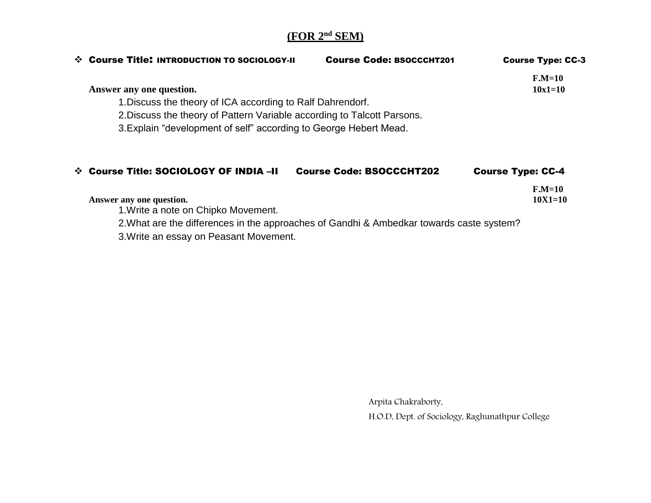## **(FOR 2nd SEM)**

| ❖ Course Title: INTRODUCTION TO SOCIOLOGY-II                                             | <b>Course Code: BSOCCCHT201</b> | <b>Course Type: CC-3</b> |  |  |  |  |
|------------------------------------------------------------------------------------------|---------------------------------|--------------------------|--|--|--|--|
|                                                                                          |                                 | $F.M=10$                 |  |  |  |  |
| Answer any one question.                                                                 |                                 | $10x1=10$                |  |  |  |  |
| 1. Discuss the theory of ICA according to Ralf Dahrendorf.                               |                                 |                          |  |  |  |  |
| 2. Discuss the theory of Pattern Variable according to Talcott Parsons.                  |                                 |                          |  |  |  |  |
| 3. Explain "development of self" according to George Hebert Mead.                        |                                 |                          |  |  |  |  |
| ❖ Course Title: SOCIOLOGY OF INDIA -II                                                   | <b>Course Code: BSOCCCHT202</b> | <b>Course Type: CC-4</b> |  |  |  |  |
| Answer any one question.                                                                 |                                 | $F.M=10$<br>$10X1 = 10$  |  |  |  |  |
| 1. Write a note on Chipko Movement.                                                      |                                 |                          |  |  |  |  |
| 2. What are the differences in the approaches of Gandhi & Ambedkar towards caste system? |                                 |                          |  |  |  |  |
| 3. Write an essay on Peasant Movement.                                                   |                                 |                          |  |  |  |  |

Arpita Chakraborty,

H.O.D, Dept. of Sociology, Raghunathpur College